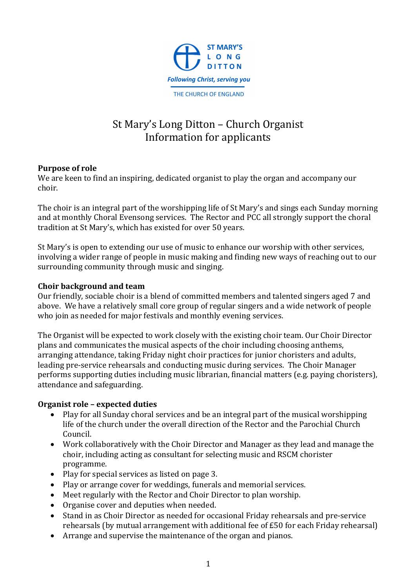

# St Mary's Long Ditton - Church Organist Information for applicants

## **Purpose** of role

We are keen to find an inspiring, dedicated organist to play the organ and accompany our choir.

The choir is an integral part of the worshipping life of St Mary's and sings each Sunday morning and at monthly Choral Evensong services. The Rector and PCC all strongly support the choral tradition at St Mary's, which has existed for over 50 years.

St Mary's is open to extending our use of music to enhance our worship with other services, involving a wider range of people in music making and finding new ways of reaching out to our surrounding community through music and singing.

## **Choir background and team**

Our friendly, sociable choir is a blend of committed members and talented singers aged 7 and above. We have a relatively small core group of regular singers and a wide network of people who join as needed for major festivals and monthly evening services.

The Organist will be expected to work closely with the existing choir team. Our Choir Director plans and communicates the musical aspects of the choir including choosing anthems, arranging attendance, taking Friday night choir practices for junior choristers and adults, leading pre-service rehearsals and conducting music during services. The Choir Manager performs supporting duties including music librarian, financial matters (e.g. paying choristers), attendance and safeguarding.

### **Organist role – expected duties**

- Play for all Sunday choral services and be an integral part of the musical worshipping life of the church under the overall direction of the Rector and the Parochial Church Council.
- Work collaboratively with the Choir Director and Manager as they lead and manage the choir, including acting as consultant for selecting music and RSCM chorister programme.
- Play for special services as listed on page 3.
- Play or arrange cover for weddings, funerals and memorial services.
- Meet regularly with the Rector and Choir Director to plan worship.
- Organise cover and deputies when needed.
- Stand in as Choir Director as needed for occasional Friday rehearsals and pre-service rehearsals (by mutual arrangement with additional fee of  $£50$  for each Friday rehearsal)
- Arrange and supervise the maintenance of the organ and pianos.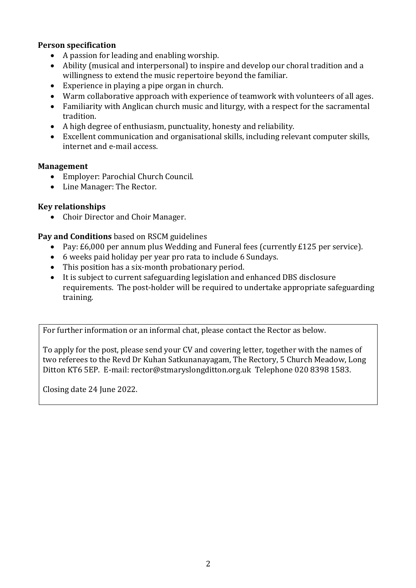## **Person specification**

- A passion for leading and enabling worship.
- Ability (musical and interpersonal) to inspire and develop our choral tradition and a willingness to extend the music repertoire beyond the familiar.
- Experience in playing a pipe organ in church.
- Warm collaborative approach with experience of teamwork with volunteers of all ages.
- Familiarity with Anglican church music and liturgy, with a respect for the sacramental tradition.
- $\bullet$  A high degree of enthusiasm, punctuality, honesty and reliability.
- Excellent communication and organisational skills, including relevant computer skills, internet and e-mail access.

#### **Management**

- Employer: Parochial Church Council.
- Line Manager: The Rector.

### **Key relationships**

• Choir Director and Choir Manager.

### **Pay and Conditions** based on RSCM guidelines

- Pay: £6,000 per annum plus Wedding and Funeral fees (currently £125 per service).
- 6 weeks paid holiday per year pro rata to include 6 Sundays.
- This position has a six-month probationary period.
- It is subject to current safeguarding legislation and enhanced DBS disclosure requirements. The post-holder will be required to undertake appropriate safeguarding training.

For further information or an informal chat, please contact the Rector as below.

To apply for the post, please send your CV and covering letter, together with the names of two referees to the Revd Dr Kuhan Satkunanayagam, The Rectory, 5 Church Meadow, Long Ditton KT6 5EP. E-mail: rector@stmaryslongditton.org.uk Telephone 020 8398 1583.

Closing date 24 June 2022.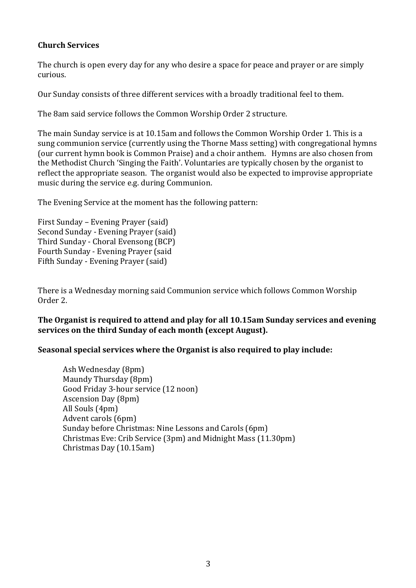## **Church Services**

The church is open every day for any who desire a space for peace and prayer or are simply curious. 

Our Sunday consists of three different services with a broadly traditional feel to them.

The 8am said service follows the Common Worship Order 2 structure.

The main Sunday service is at 10.15am and follows the Common Worship Order 1. This is a sung communion service (currently using the Thorne Mass setting) with congregational hymns (our current hymn book is Common Praise) and a choir anthem. Hymns are also chosen from the Methodist Church 'Singing the Faith'. Voluntaries are typically chosen by the organist to reflect the appropriate season. The organist would also be expected to improvise appropriate music during the service e.g. during Communion.

The Evening Service at the moment has the following pattern:

First Sunday – Evening Prayer (said) Second Sunday - Evening Prayer (said) Third Sunday - Choral Evensong (BCP) Fourth Sunday - Evening Prayer (said Fifth Sunday - Evening Prayer (said)

There is a Wednesday morning said Communion service which follows Common Worship Order 2.

## The Organist is required to attend and play for all 10.15am Sunday services and evening services on the third Sunday of each month (except August).

### **Seasonal special services where the Organist is also required to play include:**

Ash Wednesday (8pm) Maundy Thursday (8pm) Good Friday 3-hour service (12 noon) Ascension Day (8pm) All Souls (4pm) Advent carols (6pm) Sunday before Christmas: Nine Lessons and Carols (6pm) Christmas Eve: Crib Service (3pm) and Midnight Mass (11.30pm) Christmas Day (10.15am)